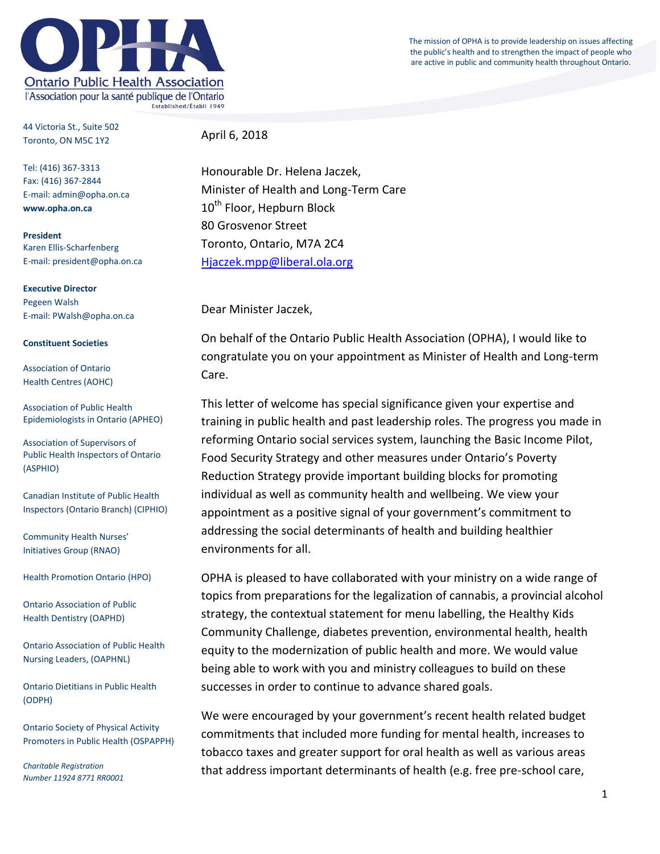The mission of OPHA is to provide leadership on issues affecting the public's health and to strengthen the impact of people who are active in public and community health throughout Ontario.



44 Victoria St., Suite 502 Toronto, ON M5C 1Y2

Tel: (416) 367-3313 Fax: (416) 367-2844 E-mail: admin@opha.on.ca **www.opha.on.ca**

**President** Karen Ellis-Scharfenberg E-mail: president@opha.on.ca

**Executive Director** Pegeen Walsh E-mail: PWalsh@opha.on.ca

## **Constituent Societies**

Association of Ontario Health Centres (AOHC)

Association of Public Health Epidemiologists in Ontario (APHEO)

Association of Supervisors of Public Health Inspectors of Ontario (ASPHIO)

Canadian Institute of Public Health Inspectors (Ontario Branch) (CIPHIO)

Community Health Nurses' Initiatives Group (RNAO)

Health Promotion Ontario (HPO)

Ontario Association of Public Health Dentistry (OAPHD)

Ontario Association of Public Health Nursing Leaders, (OAPHNL)

Ontario Dietitians in Public Health (ODPH)

Ontario Society of Physical Activity Promoters in Public Health (OSPAPPH)

*Charitable Registration Number 11924 8771 RR0001* April 6, 2018

Honourable Dr. Helena Jaczek, Minister of Health and Long-Term Care 10<sup>th</sup> Floor, Hepburn Block 80 Grosvenor Street Toronto, Ontario, M7A 2C4 [Hjaczek.mpp@liberal.ola.org](mailto:Hjaczek.mpp@liberal.ola.org) 

Dear Minister Jaczek,

On behalf of the Ontario Public Health Association (OPHA), I would like to congratulate you on your appointment as Minister of Health and Long-term Care.

This letter of welcome has special significance given your expertise and training in public health and past leadership roles. The progress you made in reforming Ontario social services system, launching the Basic Income Pilot, Food Security Strategy and other measures under Ontario's Poverty Reduction Strategy provide important building blocks for promoting individual as well as community health and wellbeing. We view your appointment as a positive signal of your government's commitment to addressing the social determinants of health and building healthier environments for all.

OPHA is pleased to have collaborated with your ministry on a wide range of topics from preparations for the legalization of cannabis, a provincial alcohol strategy, the contextual statement for menu labelling, the Healthy Kids Community Challenge, diabetes prevention, environmental health, health equity to the modernization of public health and more. We would value being able to work with you and ministry colleagues to build on these successes in order to continue to advance shared goals.

We were encouraged by your government's recent health related budget commitments that included more funding for mental health, increases to tobacco taxes and greater support for oral health as well as various areas that address important determinants of health (e.g. free pre-school care,